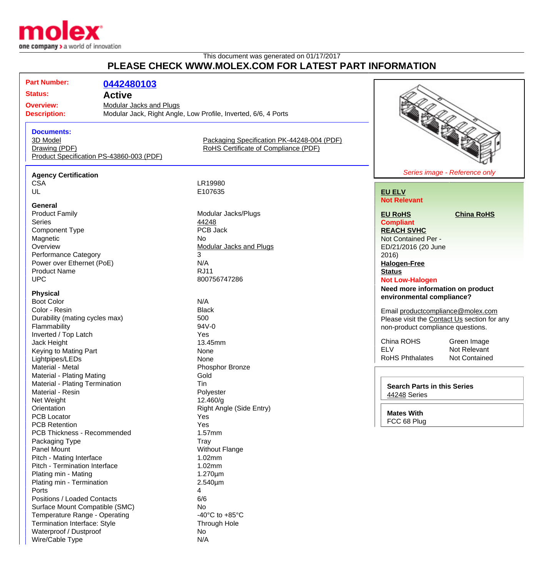

## This document was generated on 01/17/2017 **PLEASE CHECK WWW.MOLEX.COM FOR LATEST PART INFORMATION**

**Part Number: [0442480103](http://www.molex.com/molex/products/datasheet.jsp?part=active/0442480103_MODULAR_JACKS_PLUG.xml&channel=Products&Lang=en-US) Status: Active Overview:** [Modular Jacks and Plugs](http://www.molex.com/molex/products/group?channel=products&key=modular_plugs_jacks) **Description:** Modular Jack, Right Angle, Low Profile, Inverted, 6/6, 4 Ports **Documents:** [3D Model](http://www.molex.com/molex/part/partModels.jsp?&prodLevel=part&series=&partNo=442480103&channel=Products) [Packaging Specification PK-44248-004 \(PDF\)](http://www.molex.com/pdm_docs/pk/PK-44248-004.pdf) [Drawing \(PDF\)](http://www.molex.com/pdm_docs/sd/442480103_sd.pdf) **Example 2 RoHS** Certificate of Compliance (PDF) [Product Specification PS-43860-003 \(PDF\)](http://www.molex.com/pdm_docs/ps/PS-43860-003.pdf) **Agency Certification** CSA LR19980<br>UL E107635 E107635 **General**<br>**Product Family** Modular Jacks/Plugs<br>44248 Series **According to According the Series [44248](http://www.molex.com/molex/products/listview.jsp?query=44248&sType=s)** Component Type **PCB** Jack Magnetic No.<br>
Overview Mo [Modular Jacks and Plugs](http://www.molex.com/molex/products/group?channel=products&key=modular_plugs_jacks) Performance Category 3 **[EU ELV](http://www.molex.com/molex/common/staticLoader.jsp?fileName=/webcontent/literature/EU_RoHS.html#eurohs) Compliant**

# Series image - Reference only

# **Not Relevant**

#### **[EU RoHS](http://www.molex.com/molex/common/staticLoader.jsp?fileName=/cmc_upload/0/000/-12/201/EU_RoHS.html#eurohs) [China RoHS](http://www.molex.com/molex/common/staticLoader.jsp?fileName=/cmc_upload/0/000/-12/201/china_RoHS.html#china)**

**[REACH SVHC](http://www.molex.com/molex/common/staticLoader.jsp?fileName=/webcontent/contact/reach.html)** Not Contained Per - ED/21/2016 (20 June 2016) **[Halogen-Free](http://www.molex.com/molex/common/staticLoader.jsp?fileName=/webcontent/contact/halogen_free.html) [Status](http://www.molex.com/molex/common/staticLoader.jsp?fileName=/webcontent/contact/halogen_free.html)**

#### **Not Low-Halogen**

**Need more information on product environmental compliance?**

Email [productcompliance@molex.com](mailto:productcompliance@molex.com) Please visit the [Contact Us](http://www.molex.com/molex/contact/mxcontact.jsp?channel=Contact Us&channelId=-7) section for any non-product compliance questions.

China ROHS Green Image ELV Not Relevant<br>RoHS Phthalates Not Contained RoHS Phthalates

| <b>Search Parts in this Series</b> |  |  |
|------------------------------------|--|--|
| 44248 Series                       |  |  |

**Mates With** FCC 68 Plug

Power over Ethernet (PoE) N/A Product Name RJ11 UPC 800756747286

### **Physical**

Boot Color N/A Color - Resin Black Durability (mating cycles max) 500 Flammability 94V-0 Inverted / Top Latch Yes Jack Height 13.45mm Keying to Mating Part None Lightpipes/LEDs None Material - Metal **Material - Metal** Phosphor Bronze Material - Plating Mating **Gold** Material - Plating Termination Tin Material - Resin **Polyester** Net Weight 12.460/g<br>
Orientation 12.460/g<br>
Christene High Nation PCB Locator **Yes** PCB Retention Yes PCB Thickness - Recommended 1.57mm Packaging Type Tray Panel Mount **Panel Mount** Panel Mount Pitch - Mating Interface 1.02mm Pitch - Termination Interface 1.02mm Plating min - Mating 1.270um Plating min - Termination 2.540um Ports 4 Positions / Loaded Contacts 6/6 Surface Mount Compatible (SMC) No Temperature Range - Operating Temperature Range - Operating 40°C to +85°C Termination Interface: Style Through Hole Waterproof / Dustproof 1 2002 1 2003 1 2004 1 2006 1 2007 2 2008 2 2009 2 2009 2 2009 2 2009 2 2009 2 2009 2 20 Wire/Cable Type N/A

Right Angle (Side Entry)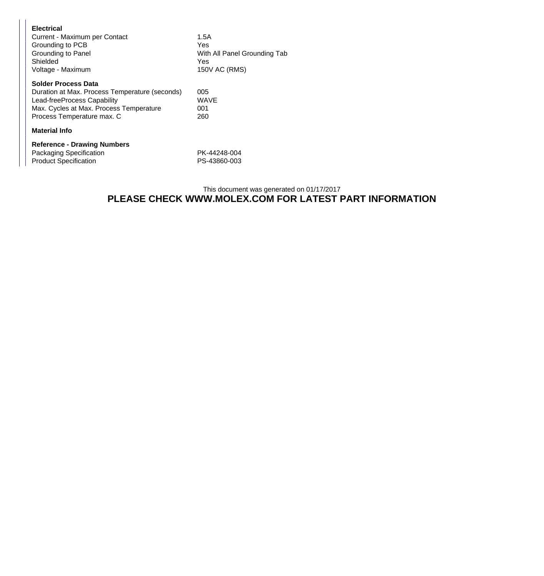| <b>Electrical</b><br>Current - Maximum per Contact<br>Grounding to PCB<br>Grounding to Panel<br>Shielded<br>Voltage - Maximum                                                        | 1.5A<br>Yes<br>With All Panel Grounding Tab<br>Yes.<br>150V AC (RMS) |
|--------------------------------------------------------------------------------------------------------------------------------------------------------------------------------------|----------------------------------------------------------------------|
| <b>Solder Process Data</b><br>Duration at Max. Process Temperature (seconds)<br>Lead-freeProcess Capability<br>Max. Cycles at Max. Process Temperature<br>Process Temperature max. C | 005<br>WAVE<br>001<br>260                                            |
| <b>Material Info</b>                                                                                                                                                                 |                                                                      |
| <b>Reference - Drawing Numbers</b><br>Packaging Specification<br><b>Product Specification</b>                                                                                        | PK-44248-004<br>PS-43860-003                                         |

### This document was generated on 01/17/2017 **PLEASE CHECK WWW.MOLEX.COM FOR LATEST PART INFORMATION**